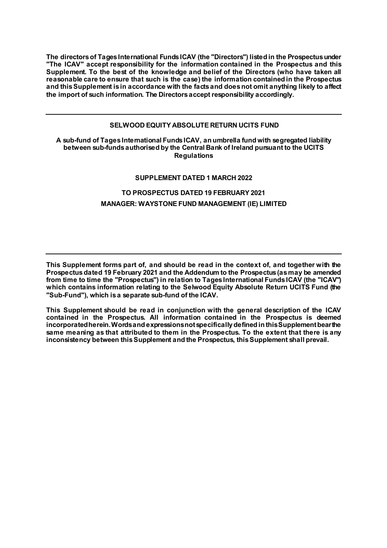**The directors of Tages International Funds ICAV (the "Directors") listed in the Prospectus under "The ICAV" accept responsibility for the information contained in the Prospectus and this Supplement. To the best of the knowledge and belief of the Directors (who have taken all reasonable care to ensure that such is the case) the information contained in the Prospectus and this Supplement is in accordance with the facts and does not omit anything likely to affect the import of such information. The Directors accept responsibility accordingly.**

#### **SELWOOD EQUITY ABSOLUTE RETURN UCITS FUND**

#### **A sub-fund of Tages International Funds ICAV, an umbrella fund with segregated liability between sub-funds authorised by the Central Bank of Ireland pursuant to the UCITS Regulations**

#### **SUPPLEMENT DATED 1 MARCH 2022**

## **TO PROSPECTUS DATED 19 FEBRUARY 2021 MANAGER: WAYSTONE FUND MANAGEMENT (IE) LIMITED**

**This Supplement forms part of, and should be read in the context of, and together with the Prospectus dated 19 February 2021 and the Addendum to the Prospectus (as may be amended from time to time the "Prospectus") in relation to Tages International Funds ICAV (the "ICAV") which contains information relating to the Selwood Equity Absolute Return UCITS Fund (the "Sub-Fund"), which is a separate sub-fund of the ICAV.**

**This Supplement should be read in conjunction with the general description of the ICAV contained in the Prospectus. All information contained in the Prospectus is deemed incorporated herein. Words and expressions not specifically defined in this Supplement bear the same meaning as that attributed to them in the Prospectus. To the extent that there is any inconsistency between this Supplement and the Prospectus, this Supplement shall prevail.**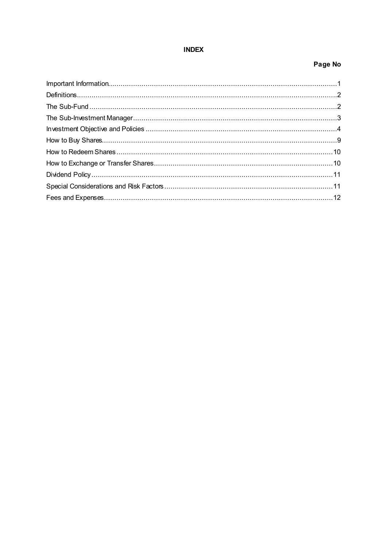# **INDEX**

# Page No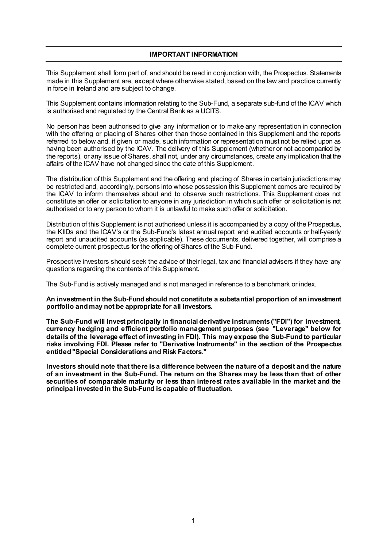#### **IMPORTANT INFORMATION**

This Supplement shall form part of, and should be read in conjunction with, the Prospectus. Statements made in this Supplement are, except where otherwise stated, based on the law and practice currently in force in Ireland and are subject to change.

This Supplement contains information relating to the Sub-Fund, a separate sub-fund of the ICAV which is authorised and regulated by the Central Bank as a UCITS.

No person has been authorised to give any information or to make any representation in connection with the offering or placing of Shares other than those contained in this Supplement and the reports referred to below and, if given or made, such information or representation must not be relied upon as having been authorised by the ICAV. The delivery of this Supplement (whether or not accompanied by the reports), or any issue of Shares, shall not, under any circumstances, create any implication that the affairs of the ICAV have not changed since the date of this Supplement.

The distribution of this Supplement and the offering and placing of Shares in certain jurisdictions may be restricted and, accordingly, persons into whose possession this Supplement comes are required by the ICAV to inform themselves about and to observe such restrictions. This Supplement does not constitute an offer or solicitation to anyone in any jurisdiction in which such offer or solicitation is not authorised or to any person to whom it is unlawful to make such offer or solicitation.

Distribution of this Supplement is not authorised unless it is accompanied by a copy of the Prospectus, the KIIDs and the ICAV's or the Sub-Fund's latest annual report and audited accounts or half-yearly report and unaudited accounts (as applicable). These documents, delivered together, will comprise a complete current prospectus for the offering of Shares of the Sub-Fund.

Prospective investors should seek the advice of their legal, tax and financial advisers if they have any questions regarding the contents of this Supplement.

The Sub-Fund is actively managed and is not managed in reference to a benchmark or index.

**An investment in the Sub-Fund should not constitute a substantial proportion of an investment portfolio and may not be appropriate for all investors.**

**The Sub-Fund will invest principally in financial derivative instruments ("FDI") for investment, currency hedging and efficient portfolio management purposes (see "Leverage" below for details of the leverage effect of investing in FDI). This may expose the Sub-Fund to particular risks involving FDI. Please refer to "Derivative Instruments" in the section of the Prospectus entitled "Special Considerations and Risk Factors."**

**Investors should note that there is a difference between the nature of a deposit and the nature of an investment in the Sub-Fund. The return on the Shares may be less than that of other securities of comparable maturity or less than interest rates available in the market and the principal invested in the Sub-Fund is capable of fluctuation.**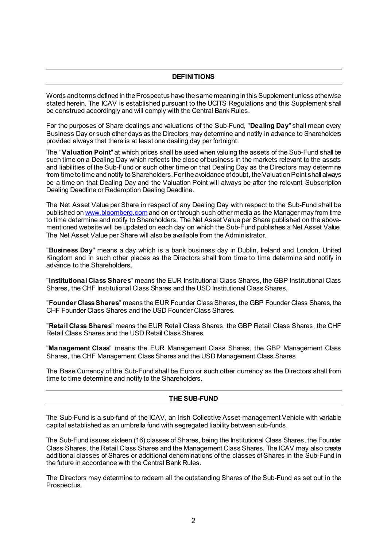## **DEFINITIONS**

Words and terms defined in the Prospectus have the same meaning in this Supplement unless otherwise stated herein. The ICAV is established pursuant to the UCITS Regulations and this Supplement shall be construed accordingly and will comply with the Central Bank Rules.

For the purposes of Share dealings and valuations of the Sub-Fund, "**Dealing Day**" shall mean every Business Day or such other days as the Directors may determine and notify in advance to Shareholders provided always that there is at least one dealing day per fortnight.

The "**Valuation Point**" at which prices shall be used when valuing the assets of the Sub-Fund shall be such time on a Dealing Day which reflects the close of business in the markets relevant to the assets and liabilities of the Sub-Fund or such other time on that Dealing Day as the Directors may determine from time to time and notify to Shareholders. For the avoidance of doubt, the Valuation Point shall always be a time on that Dealing Day and the Valuation Point will always be after the relevant Subscription Dealing Deadline or Redemption Dealing Deadline.

The Net Asset Value per Share in respect of any Dealing Day with respect to the Sub-Fund shall be published o[n www.bloomberg.com](http://www.bloomberg.com/) and on or through such other media as the Manager may from time to time determine and notify to Shareholders. The Net Asset Value per Share published on the abovementioned website will be updated on each day on which the Sub-Fund publishes a Net Asset Value. The Net Asset Value per Share will also be available from the Administrator.

"**Business Day**" means a day which is a bank business day in Dublin, Ireland and London, United Kingdom and in such other places as the Directors shall from time to time determine and notify in advance to the Shareholders.

"**Institutional Class Shares**" means the EUR Institutional Class Shares, the GBP Institutional Class Shares, the CHF Institutional Class Shares and the USD Institutional Class Shares.

"**Founder Class Shares**" means the EUR Founder Class Shares, the GBP Founder Class Shares, the CHF Founder Class Shares and the USD Founder Class Shares.

"**Retail Class Shares**" means the EUR Retail Class Shares, the GBP Retail Class Shares, the CHF Retail Class Shares and the USD Retail Class Shares.

''**Management Class**'' means the EUR Management Class Shares, the GBP Management Class Shares, the CHF Management Class Shares and the USD Management Class Shares.

The Base Currency of the Sub-Fund shall be Euro or such other currency as the Directors shall from time to time determine and notify to the Shareholders.

## **THE SUB-FUND**

The Sub-Fund is a sub-fund of the ICAV, an Irish Collective Asset-management Vehicle with variable capital established as an umbrella fund with segregated liability between sub-funds.

The Sub-Fund issues sixteen (16) classes of Shares, being the Institutional Class Shares, the Founder Class Shares, the Retail Class Shares and the Management Class Shares. The ICAV may also create additional classes of Shares or additional denominations of the classes of Shares in the Sub-Fund in the future in accordance with the Central Bank Rules.

The Directors may determine to redeem all the outstanding Shares of the Sub-Fund as set out in the Prospectus.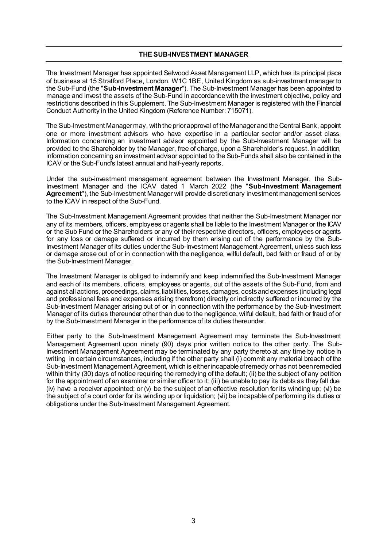#### **THE SUB-INVESTMENT MANAGER**

The Investment Manager has appointed Selwood Asset Management LLP, which has its principal place of business at 15 Stratford Place, London, W1C 1BE, United Kingdom as sub-investment manager to the Sub-Fund (the "**Sub-Investment Manager**"). The Sub-Investment Manager has been appointed to manage and invest the assets of the Sub-Fund in accordance with the investment objective, policy and restrictions described in this Supplement. The Sub-Investment Manager is registered with the Financial Conduct Authority in the United Kingdom (Reference Number: 715071).

The Sub-Investment Manager may, with the prior approval of the Manager and the Central Bank, appoint one or more investment advisors who have expertise in a particular sector and/or asset class. Information concerning an investment advisor appointed by the Sub-Investment Manager will be provided to the Shareholder by the Manager, free of charge, upon a Shareholder's request. In addition, information concerning an investment advisor appointed to the Sub-Funds shall also be contained in the ICAV or the Sub-Fund's latest annual and half-yearly reports.

Under the sub-investment management agreement between the Investment Manager, the Sub-Investment Manager and the ICAV dated 1 March 2022 (the "**Sub-Investment Management Agreement**"), the Sub-Investment Manager will provide discretionary investment management services to the ICAV in respect of the Sub-Fund.

The Sub-Investment Management Agreement provides that neither the Sub-Investment Manager nor any of its members, officers, employees or agents shall be liable to the Investment Manager or the ICAV or the Sub Fund or the Shareholders or any of their respective directors, officers, employees or agents for any loss or damage suffered or incurred by them arising out of the performance by the Sub-Investment Manager of its duties under the Sub-Investment Management Agreement, unless such loss or damage arose out of or in connection with the negligence, wilful default, bad faith or fraud of or by the Sub-Investment Manager.

The Investment Manager is obliged to indemnify and keep indemnified the Sub-Investment Manager and each of its members, officers, employees or agents, out of the assets of the Sub-Fund, from and against all actions, proceedings, claims, liabilities, losses, damages, costs and expenses (including legal and professional fees and expenses arising therefrom) directly or indirectly suffered or incurred by the Sub-Investment Manager arising out of or in connection with the performance by the Sub-Investment Manager of its duties thereunder other than due to the negligence, wilful default, bad faith or fraud of or by the Sub-Investment Manager in the performance of its duties thereunder.

Either party to the Sub-Investment Management Agreement may terminate the Sub-Investment Management Agreement upon ninety (90) days prior written notice to the other party. The Sub-Investment Management Agreement may be terminated by any party thereto at any time by notice in writing in certain circumstances, including if the other party shall (i) commit any material breach of the Sub-Investment Management Agreement, which is either incapable of remedy or has not been remedied within thirty (30) days of notice requiring the remedying of the default; (ii) be the subject of any petition for the appointment of an examiner or similar officer to it; (iii) be unable to pay its debts as they fall due; (iv) have a receiver appointed; or (v) be the subject of an effective resolution for its winding up; (vi) be the subject of a court order for its winding up or liquidation; (vii) be incapable of performing its duties or obligations under the Sub-Investment Management Agreement.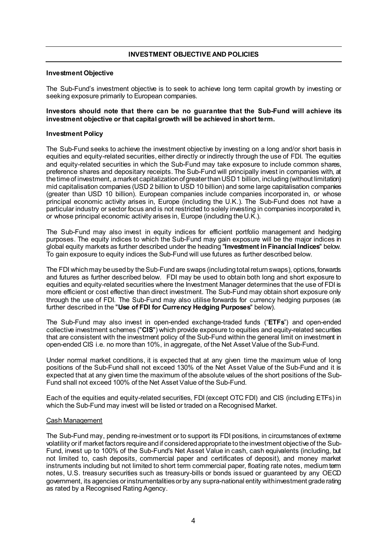## **INVESTMENT OBJECTIVE AND POLICIES**

#### **Investment Objective**

The Sub-Fund's investment objective is to seek to achieve long term capital growth by investing or seeking exposure primarily to European companies.

#### **Investors should note that there can be no guarantee that the Sub-Fund will achieve its investment objective or that capital growth will be achieved in short term.**

#### **Investment Policy**

The Sub-Fund seeks to achieve the investment objective by investing on a long and/or short basis in equities and equity-related securities, either directly or indirectly through the use of FDI. The equities and equity-related securities in which the Sub-Fund may take exposure to include common shares, preference shares and depositary receipts. The Sub-Fund will principally invest in companies with, at the time of investment, a market capitalization of greater than USD 1 billion, including (without limitation) mid capitalisation companies (USD 2 billion to USD 10 billion) and some large capitalisation companies (greater than USD 10 billion). European companies include companies incorporated in, or whose principal economic activity arises in, Europe (including the U.K.). The Sub-Fund does not have a particular industry or sector focus and is not restricted to solely investing in companies incorporated in, or whose principal economic activity arises in, Europe (including the U.K.).

The Sub-Fund may also invest in equity indices for efficient portfolio management and hedging purposes. The equity indices to which the Sub-Fund may gain exposure will be the major indices in global equity markets as further described under the heading "**Investment in Financial Indices**" below. To gain exposure to equity indices the Sub-Fund will use futures as further described below.

The FDI which may be used by the Sub-Fund are swaps (including total return swaps), options, forwards and futures as further described below. FDI may be used to obtain both long and short exposure to equities and equity-related securities where the Investment Manager determines that the use of FDI is more efficient or cost effective than direct investment. The Sub-Fund may obtain short exposure only through the use of FDI. The Sub-Fund may also utilise forwards for currency hedging purposes (as further described in the "**Use of FDI for Currency Hedging Purposes**" below).

The Sub-Fund may also invest in open-ended exchange-traded funds ("**ETFs**") and open-ended collective investment schemes ("**CIS**") which provide exposure to equities and equity-related securities that are consistent with the investment policy of the Sub-Fund within the general limit on investment in open-ended CIS i.e. no more than 10%, in aggregate, of the Net Asset Value of the Sub-Fund.

Under normal market conditions, it is expected that at any given time the maximum value of long positions of the Sub-Fund shall not exceed 130% of the Net Asset Value of the Sub-Fund and it is expected that at any given time the maximum of the absolute values of the short positions of the Sub-Fund shall not exceed 100% of the Net Asset Value of the Sub-Fund.

Each of the equities and equity-related securities, FDI (except OTC FDI) and CIS (including ETFs) in which the Sub-Fund may invest will be listed or traded on a Recognised Market.

#### Cash Management

The Sub-Fund may, pending re-investment or to support its FDI positions, in circumstances of extreme volatility or if market factors require and if considered appropriate to the investment objective of the Sub-Fund, invest up to 100% of the Sub-Fund's Net Asset Value in cash, cash equivalents (including, but not limited to, cash deposits, commercial paper and certificates of deposit), and money market instruments including but not limited to short term commercial paper, floating rate notes, medium term notes, U.S. treasury securities such as treasury-bills or bonds issued or guaranteed by any OECD government, its agencies or instrumentalities or by any supra-national entity with investment grade rating as rated by a Recognised Rating Agency.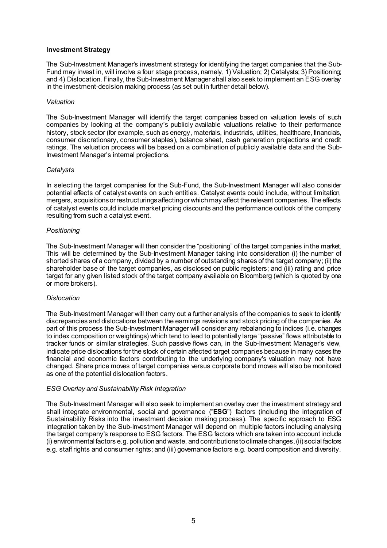#### **Investment Strategy**

The Sub-Investment Manager's investment strategy for identifying the target companies that the Sub-Fund may invest in, will involve a four stage process, namely, 1) Valuation; 2) Catalysts; 3) Positioning; and 4) Dislocation. Finally, the Sub-Investment Manager shall also seek to implement an ESG overlay in the investment-decision making process (as set out in further detail below).

#### *Valuation*

The Sub-Investment Manager will identify the target companies based on valuation levels of such companies by looking at the company's publicly available valuations relative to their performance history, stock sector (for example, such as energy, materials, industrials, utilities, healthcare, financials, consumer discretionary, consumer staples), balance sheet, cash generation projections and credit ratings. The valuation process will be based on a combination of publicly available data and the Sub-Investment Manager's internal projections.

#### *Catalysts*

In selecting the target companies for the Sub-Fund, the Sub-Investment Manager will also consider potential effects of catalyst events on such entities. Catalyst events could include, without limitation, mergers, acquisitions or restructurings affecting or which may affect the relevant companies. The effects of catalyst events could include market pricing discounts and the performance outlook of the company resulting from such a catalyst event.

#### *Positioning*

The Sub-Investment Manager will then consider the "positioning" of the target companies in the market. This will be determined by the Sub-Investment Manager taking into consideration (i) the number of shorted shares of a company, divided by a number of outstanding shares of the target company; (ii) the shareholder base of the target companies, as disclosed on public registers; and (iii) rating and price target for any given listed stock of the target company available on Bloomberg (which is quoted by one or more brokers).

#### *Dislocation*

The Sub-Investment Manager will then carry out a further analysis of the companies to seek to identify discrepancies and dislocations between the earnings revisions and stock pricing of the companies*.* As part of this process the Sub-Investment Manager will consider any rebalancing to indices (i.e. changes to index composition or weightings) which tend to lead to potentially large "passive" flows attributable to tracker funds or similar strategies. Such passive flows can, in the Sub-Investment Manager's view, indicate price dislocations for the stock of certain affected target companies because in many cases the financial and economic factors contributing to the underlying company's valuation may not have changed. Share price moves of target companies versus corporate bond moves will also be monitored as one of the potential dislocation factors.

#### *ESG Overlay and Sustainability Risk Integration*

The Sub-Investment Manager will also seek to implement an overlay over the investment strategy and shall integrate environmental, social and governance (''**ESG**'') factors (including the integration of Sustainability Risks into the investment decision making process). The specific approach to ESG integration taken by the Sub-Investment Manager will depend on multiple factors including analysing the target company's response to ESG factors. The ESG factors which are taken into account include (i) environmental factors e.g. pollution and waste, and contributions to climate changes, (ii) social factors e.g. staff rights and consumer rights; and (iii) governance factors e.g. board composition and diversity.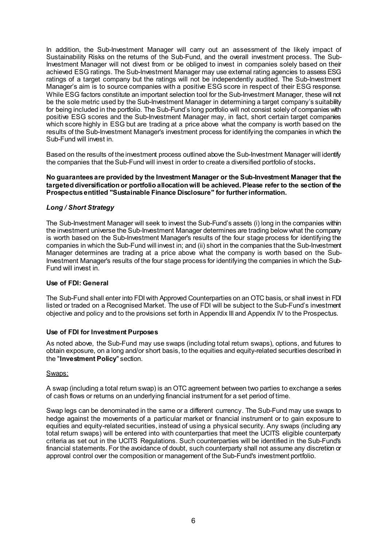In addition, the Sub-Investment Manager will carry out an assessment of the likely impact of Sustainability Risks on the returns of the Sub-Fund, and the overall investment process. The Sub-Investment Manager will not divest from or be obliged to invest in companies solely based on their achieved ESG ratings. The Sub-Investment Manager may use external rating agencies to assess ESG ratings of a target company but the ratings will not be independently audited. The Sub-Investment Manager's aim is to source companies with a positive ESG score in respect of their ESG response. While ESG factors constitute an important selection tool for the Sub-Investment Manager, these will not be the sole metric used by the Sub-Investment Manager in determining a target company's suitability for being included in the portfolio. The Sub-Fund's long portfolio will not consist solely of companies with positive ESG scores and the Sub-Investment Manager may, in fact, short certain target companies which score highly in ESG but are trading at a price above what the company is worth based on the results of the Sub-Investment Manager's investment process for identifying the companies in which the Sub-Fund will invest in.

Based on the results of the investment process outlined above the Sub-Investment Manager will identify the companies that the Sub-Fund will invest in order to create a diversified portfolio of stocks**.**

#### **No guarantees are provided by the Investment Manager or the Sub-Investment Manager that the targeted diversification or portfolio allocation will be achieved. Please refer to the section of the Prospectus entitled "Sustainable Finance Disclosure" for further information.**

## *Long / Short Strategy*

The Sub-Investment Manager will seek to invest the Sub-Fund's assets (i) long in the companies within the investment universe the Sub-Investment Manager determines are trading below what the company is worth based on the Sub-Investment Manager's results of the four stage process for identifying the companies in which the Sub-Fund will invest in; and (ii) short in the companies that the Sub-Investment Manager determines are trading at a price above what the company is worth based on the Sub-Investment Manager's results of the four stage process for identifying the companies in which the Sub-Fund will invest in.

#### **Use of FDI: General**

The Sub-Fund shall enter into FDI with Approved Counterparties on an OTC basis, or shall invest in FDI listed or traded on a Recognised Market. The use of FDI will be subject to the Sub-Fund's investment objective and policy and to the provisions set forth in Appendix III and Appendix IV to the Prospectus.

#### **Use of FDI for Investment Purposes**

As noted above, the Sub-Fund may use swaps (including total return swaps), options, and futures to obtain exposure, on a long and/or short basis, to the equities and equity-related securities described in the "**Investment Policy**" section.

## Swaps:

A swap (including a total return swap) is an OTC agreement between two parties to exchange a series of cash flows or returns on an underlying financial instrument for a set period of time.

Swap legs can be denominated in the same or a different currency. The Sub-Fund may use swaps to hedge against the movements of a particular market or financial instrument or to gain exposure to equities and equity-related securities, instead of using a physical security. Any swaps (including any total return swaps) will be entered into with counterparties that meet the UCITS eligible counterparty criteria as set out in the UCITS Regulations. Such counterparties will be identified in the Sub-Fund's financial statements. For the avoidance of doubt, such counterparty shall not assume any discretion or approval control over the composition or management of the Sub-Fund's investment portfolio.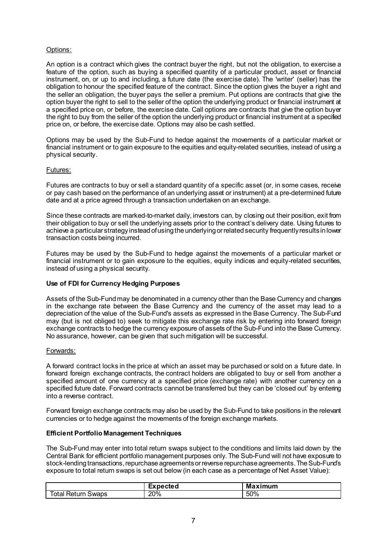## Options:

An option is a contract which gives the contract buyer the right, but not the obligation, to exercise a feature of the option, such as buying a specified quantity of a particular product, asset or financial instrument, on, or up to and including, a future date (the exercise date). The 'writer' (seller) has the obligation to honour the specified feature of the contract. Since the option gives the buyer a right and the seller an obligation, the buyer pays the seller a premium. Put options are contracts that give the option buyer the right to sell to the seller of the option the underlying product or financial instrument at a specified price on, or before, the exercise date. Call options are contracts that give the option buyer the right to buy from the seller of the option the underlying product or financial instrument at a specified price on, or before, the exercise date. Options may also be cash settled.

Options may be used by the Sub-Fund to hedge against the movements of a particular market or financial instrument or to gain exposure to the equities and equity-related securities, instead of using a physical security.

#### Futures:

Futures are contracts to buy or sell a standard quantity of a specific asset (or, in some cases, receive or pay cash based on the performance of an underlying asset or instrument) at a pre-determined future date and at a price agreed through a transaction undertaken on an exchange.

Since these contracts are marked-to-market daily, investors can, by closing out their position, exit from their obligation to buy or sell the underlying assets prior to the contract's delivery date. Using futures to achieve a particular strategy instead of using the underlying or related security frequently results in lower transaction costs being incurred.

Futures may be used by the Sub-Fund to hedge against the movements of a particular market or financial instrument or to gain exposure to the equities, equity indices and equity-related securities, instead of using a physical security.

#### **Use of FDI for Currency Hedging Purposes**

Assets of the Sub-Fund may be denominated in a currency other than the Base Currency and changes in the exchange rate between the Base Currency and the currency of the asset may lead to a depreciation of the value of the Sub-Fund's assets as expressed in the Base Currency. The Sub-Fund may (but is not obliged to) seek to mitigate this exchange rate risk by entering into forward foreign exchange contracts to hedge the currency exposure of assets of the Sub-Fund into the Base Currency. No assurance, however, can be given that such mitigation will be successful.

#### Forwards:

A forward contract locks in the price at which an asset may be purchased or sold on a future date. In forward foreign exchange contracts, the contract holders are obligated to buy or sell from another a specified amount of one currency at a specified price (exchange rate) with another currency on a specified future date. Forward contracts cannot be transferred but they can be 'closed out' by entering into a reverse contract.

Forward foreign exchange contracts may also be used by the Sub-Fund to take positions in the relevant currencies or to hedge against the movements of the foreign exchange markets.

#### **Efficient Portfolio Management Techniques**

The Sub-Fund may enter into total return swaps subject to the conditions and limits laid down by the Central Bank for efficient portfolio management purposes only. The Sub-Fund will not have exposure to stock-lending transactions, repurchase agreements or reverse repurchase agreements. The Sub-Fund's exposure to total return swaps is set out below (in each case as a percentage of Net Asset Value):

|                                    | Expected | Ma<br>laximum |
|------------------------------------|----------|---------------|
| tı ırn<br>Swaps<br>otal<br>Returi. | 20%      | 50%           |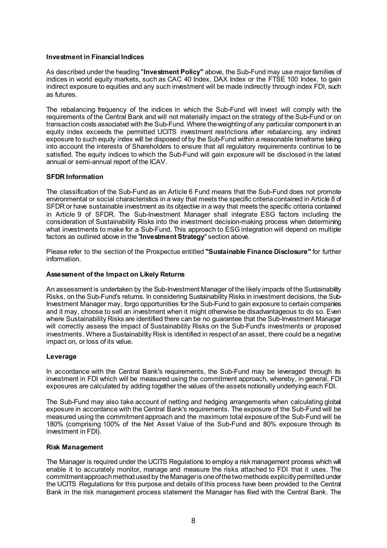#### **Investment in Financial Indices**

As described under the heading "**Investment Policy"** above, the Sub-Fund may use major families of indices in world equity markets, such as CAC 40 Index, DAX Index or the FTSE 100 Index, to gain indirect exposure to equities and any such investment will be made indirectly through index FDI, such as futures.

The rebalancing frequency of the indices in which the Sub-Fund will invest will comply with the requirements of the Central Bank and will not materially impact on the strategy of the Sub-Fund or on transaction costs associated with the Sub-Fund. Where the weighting of any particular component in an equity index exceeds the permitted UCITS investment restrictions after rebalancing, any indirect exposure to such equity index will be disposed of by the Sub-Fund within a reasonable timeframe taking into account the interests of Shareholders to ensure that all regulatory requirements continue to be satisfied. The equity indices to which the Sub-Fund will gain exposure will be disclosed in the latest annual or semi-annual report of the ICAV.

#### **SFDR Information**

The classification of the Sub-Fund as an Article 6 Fund means that the Sub-Fund does not promote environmental or social characteristics in a way that meets the specific criteria contained in Article 8 of SFDR or have sustainable investment as its objective in a way that meets the specific criteria contained in Article 9 of SFDR. The Sub-Investment Manager shall integrate ESG factors including the consideration of Sustainability Risks into the investment decision-making process when determining what investments to make for a Sub-Fund. This approach to ESG integration will depend on multiple factors as outlined above in the ''**Investment Strategy**'' section above.

Please refer to the section of the Prospectus entitled **"Sustainable Finance Disclosure"** for further information.

#### **Assessment of the Impact on Likely Returns**

An assessment is undertaken by the Sub-Investment Manager of the likely impacts of the Sustainability Risks, on the Sub-Fund's returns. In considering Sustainability Risks in investment decisions, the Sub-Investment Manager may, forgo opportunities for the Sub-Fund to gain exposure to certain companies and it may, choose to sell an investment when it might otherwise be disadvantageous to do so. Even where Sustainability Risks are identified there can be no guarantee that the Sub-Investment Manager will correctly assess the impact of Sustainability Risks on the Sub-Fund's investments or proposed investments. Where a Sustainability Risk is identified in respect of an asset, there could be a negative impact on, or loss of its value.

#### **Leverage**

In accordance with the Central Bank's requirements, the Sub-Fund may be leveraged through its investment in FDI which will be measured using the commitment approach, whereby, in general, FDI exposures are calculated by adding together the values of the assets notionally underlying each FDI.

The Sub-Fund may also take account of netting and hedging arrangements when calculating global exposure in accordance with the Central Bank's requirements. The exposure of the Sub-Fund will be measured using the commitment approach and the maximum total exposure of the Sub-Fund will be 180% (comprising 100% of the Net Asset Value of the Sub-Fund and 80% exposure through its investment in FDI).

#### **Risk Management**

The Manager is required under the UCITS Regulations to employ a risk management process which will enable it to accurately monitor, manage and measure the risks attached to FDI that it uses. The commitmentapproachmethodused by the Manager is one of the two methods explicitly permitted under the UCITS Regulations for this purpose and details of this process have been provided to the Central Bank in the risk management process statement the Manager has filed with the Central Bank. The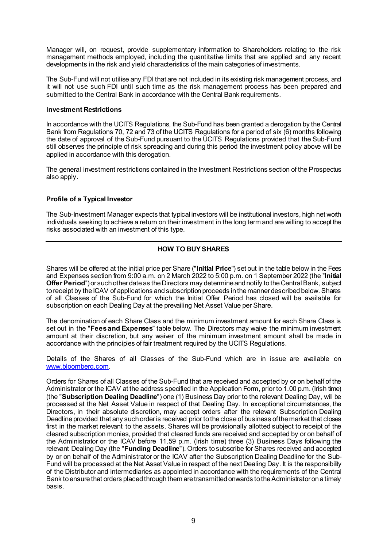Manager will, on request, provide supplementary information to Shareholders relating to the risk management methods employed, including the quantitative limits that are applied and any recent developments in the risk and yield characteristics of the main categories of investments.

The Sub-Fund will not utilise any FDI that are not included in its existing risk management process, and it will not use such FDI until such time as the risk management process has been prepared and submitted to the Central Bank in accordance with the Central Bank requirements.

#### **Investment Restrictions**

In accordance with the UCITS Regulations, the Sub-Fund has been granted a derogation by the Central Bank from Regulations 70, 72 and 73 of the UCITS Regulations for a period of six (6) months following the date of approval of the Sub-Fund pursuant to the UCITS Regulations provided that the Sub-Fund still observes the principle of risk spreading and during this period the investment policy above will be applied in accordance with this derogation.

The general investment restrictions contained in the Investment Restrictions section of the Prospectus also apply.

## **Profile of a Typical Investor**

The Sub-Investment Manager expects that typical investors will be institutional investors, high net worth individuals seeking to achieve a return on their investment in the long term and are willing to accept the risks associated with an investment of this type.

## **HOW TO BUY SHARES**

Shares will be offered at the initial price per Share ("**Initial Price**") set out in the table below in the Fees and Expenses section from 9:00 a.m. on 2 March 2022 to 5:00 p.m. on 1 September 2022 (the ''**Initial Offer Period**'')or such other date as the Directors may determine and notify to the Central Bank, subject to receipt by the ICAV of applications and subscription proceeds in the manner described below. Shares of all Classes of the Sub-Fund for which the Initial Offer Period has closed will be available for subscription on each Dealing Day at the prevailing Net Asset Value per Share.

The denomination of each Share Class and the minimum investment amount for each Share Class is set out in the "**Fees and Expenses**" table below. The Directors may waive the minimum investment amount at their discretion, but any waiver of the minimum investment amount shall be made in accordance with the principles of fair treatment required by the UCITS Regulations.

Details of the Shares of all Classes of the Sub-Fund which are in issue are available on [www.bloomberg.com](http://www.bloomberg.com/).

Orders for Shares of all Classes of the Sub-Fund that are received and accepted by or on behalf of the Administrator or the ICAV at the address specified in the Application Form, prior to 1.00 p.m. (Irish time) (the "**Subscription Dealing Deadline**") one (1) Business Day prior to the relevant Dealing Day, will be processed at the Net Asset Value in respect of that Dealing Day. In exceptional circumstances, the Directors, in their absolute discretion, may accept orders after the relevant Subscription Dealing Deadline provided that any such order is received prior to the close of business of the market that closes first in the market relevant to the assets. Shares will be provisionally allotted subject to receipt of the cleared subscription monies, provided that cleared funds are received and accepted by or on behalf of the Administrator or the ICAV before 11.59 p.m. (Irish time) three (3) Business Days following the relevant Dealing Day (the "**Funding Deadline**"). Orders to subscribe for Shares received and accepted by or on behalf of the Administrator or the ICAV after the Subscription Dealing Deadline for the Sub-Fund will be processed at the Net Asset Value in respect of the next Dealing Day. It is the responsibility of the Distributor and intermediaries as appointed in accordance with the requirements of the Central Bank to ensure that orders placed through them are transmitted onwards to the Administrator on a timely basis.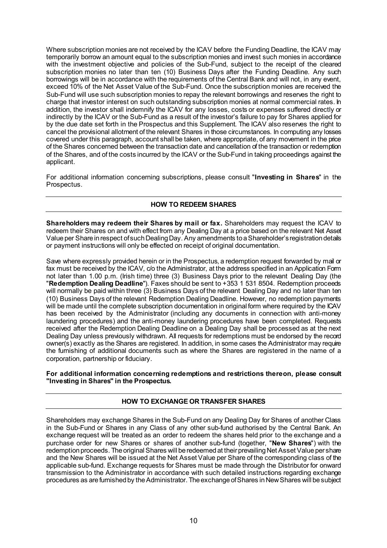Where subscription monies are not received by the ICAV before the Funding Deadline, the ICAV may temporarily borrow an amount equal to the subscription monies and invest such monies in accordance with the investment objective and policies of the Sub-Fund, subject to the receipt of the cleared subscription monies no later than ten (10) Business Days after the Funding Deadline. Any such borrowings will be in accordance with the requirements of the Central Bank and will not, in any event, exceed 10% of the Net Asset Value of the Sub-Fund. Once the subscription monies are received the Sub-Fund will use such subscription monies to repay the relevant borrowings and reserves the right to charge that investor interest on such outstanding subscription monies at normal commercial rates. In addition, the investor shall indemnify the ICAV for any losses, costs or expenses suffered directly or indirectly by the ICAV or the Sub-Fund as a result of the investor's failure to pay for Shares applied for by the due date set forth in the Prospectus and this Supplement. The ICAV also reserves the right to cancel the provisional allotment of the relevant Shares in those circumstances. In computing any losses covered under this paragraph, account shall be taken, where appropriate, of any movement in the price of the Shares concerned between the transaction date and cancellation of the transaction or redemption of the Shares, and of the costs incurred by the ICAV or the Sub-Fund in taking proceedings against the applicant.

For additional information concerning subscriptions, please consult "**Investing in Shares**" in the Prospectus.

## **HOW TO REDEEM SHARES**

**Shareholders may redeem their Shares by mail or fax.** Shareholders may request the ICAV to redeem their Shares on and with effect from any Dealing Day at a price based on the relevant Net Asset Value per Share in respect of such Dealing Day. Any amendments to a Shareholder's registration details or payment instructions will only be effected on receipt of original documentation.

Save where expressly provided herein or in the Prospectus, a redemption request forwarded by mail or fax must be received by the ICAV, c/o the Administrator, at the address specified in an Application Form not later than 1.00 p.m. (Irish time) three (3) Business Days prior to the relevant Dealing Day (the "**Redemption Dealing Deadline**"). Faxes should be sent to +353 1 531 8504. Redemption proceeds will normally be paid within three (3) Business Days of the relevant Dealing Day and no later than ten (10) Business Days of the relevant Redemption Dealing Deadline. However, no redemption payments will be made until the complete subscription documentation in original form where required by the ICAV has been received by the Administrator (including any documents in connection with anti-money laundering procedures) and the anti-money laundering procedures have been completed. Requests received after the Redemption Dealing Deadline on a Dealing Day shall be processed as at the next Dealing Day unless previously withdrawn. All requests for redemptions must be endorsed by the record owner(s) exactly as the Shares are registered. In addition, in some cases the Administrator may require the furnishing of additional documents such as where the Shares are registered in the name of a corporation, partnership or fiduciary.

#### **For additional information concerning redemptions and restrictions thereon, please consult "Investing in Shares" in the Prospectus.**

## **HOW TO EXCHANGE OR TRANSFER SHARES**

Shareholders may exchange Shares in the Sub-Fund on any Dealing Day for Shares of another Class in the Sub-Fund or Shares in any Class of any other sub-fund authorised by the Central Bank. An exchange request will be treated as an order to redeem the shares held prior to the exchange and a purchase order for new Shares or shares of another sub-fund (together, "**New Shares**") with the redemption proceeds. The original Shares will be redeemed at their prevailing Net Asset Value per share and the New Shares will be issued at the Net Asset Value per Share of the corresponding class of the applicable sub-fund. Exchange requests for Shares must be made through the Distributor for onward transmission to the Administrator in accordance with such detailed instructions regarding exchange procedures as are furnished by the Administrator. The exchange of Shares in NewShares will be subject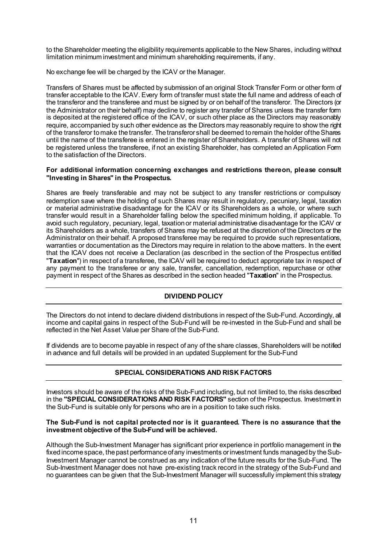to the Shareholder meeting the eligibility requirements applicable to the New Shares, including without limitation minimum investment and minimum shareholding requirements, if any.

No exchange fee will be charged by the ICAV or the Manager.

Transfers of Shares must be affected by submission of an original Stock Transfer Form or other form of transfer acceptable to the ICAV. Every form of transfer must state the full name and address of each of the transferor and the transferee and must be signed by or on behalf of the transferor. The Directors (or the Administrator on their behalf) may decline to register any transfer of Shares unless the transfer form is deposited at the registered office of the ICAV, or such other place as the Directors may reasonably require, accompanied by such other evidence as the Directors may reasonably require to show the right of the transferor to make the transfer. The transferor shall be deemed to remain the holder of the Shares until the name of the transferee is entered in the register of Shareholders. A transfer of Shares will not be registered unless the transferee, if not an existing Shareholder, has completed an Application Form to the satisfaction of the Directors.

#### **For additional information concerning exchanges and restrictions thereon, please consult "Investing in Shares" in the Prospectus.**

Shares are freely transferable and may not be subject to any transfer restrictions or compulsory redemption save where the holding of such Shares may result in regulatory, pecuniary, legal, taxation or material administrative disadvantage for the ICAV or its Shareholders as a whole, or where such transfer would result in a Shareholder falling below the specified minimum holding, if applicable. To avoid such regulatory, pecuniary, legal, taxation or material administrative disadvantage for the ICAV or its Shareholders as a whole, transfers of Shares may be refused at the discretion of the Directors or the Administrator on their behalf. A proposed transferee may be required to provide such representations, warranties or documentation as the Directors may require in relation to the above matters. In the event that the ICAV does not receive a Declaration (as described in the section of the Prospectus entitled "**Taxation**") in respect of a transferee, the ICAV will be required to deduct appropriate tax in respect of any payment to the transferee or any sale, transfer, cancellation, redemption, repurchase or other payment in respect of the Shares as described in the section headed "**Taxation**" in the Prospectus.

## **DIVIDEND POLICY**

The Directors do not intend to declare dividend distributions in respect of the Sub-Fund. Accordingly, all income and capital gains in respect of the Sub-Fund will be re-invested in the Sub-Fund and shall be reflected in the Net Asset Value per Share of the Sub-Fund.

If dividends are to become payable in respect of any of the share classes, Shareholders will be notified in advance and full details will be provided in an updated Supplement for the Sub-Fund

## **SPECIAL CONSIDERATIONS AND RISK FACTORS**

Investors should be aware of the risks of the Sub-Fund including, but not limited to, the risks described in the **"SPECIAL CONSIDERATIONS AND RISK FACTORS"** section of the Prospectus. Investment in the Sub-Fund is suitable only for persons who are in a position to take such risks.

#### **The Sub-Fund is not capital protected nor is it guaranteed. There is no assurance that the investment objective of the Sub-Fund will be achieved.**

Although the Sub-Investment Manager has significant prior experience in portfolio management in the fixed income space, the past performance of any investments or investment funds managed by the Sub-Investment Manager cannot be construed as any indication of the future results for the Sub-Fund. The Sub-Investment Manager does not have pre-existing track record in the strategy of the Sub-Fund and no guarantees can be given that the Sub-Investment Manager will successfully implement this strategy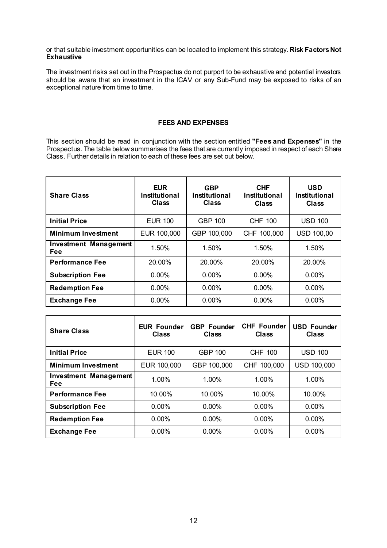or that suitable investment opportunities can be located to implement this strategy. **Risk Factors Not Exhaustive**

The investment risks set out in the Prospectus do not purport to be exhaustive and potential investors should be aware that an investment in the ICAV or any Sub-Fund may be exposed to risks of an exceptional nature from time to time.

## **FEES AND EXPENSES**

This section should be read in conjunction with the section entitled **"Fees and Expenses"** in the Prospectus. The table below summarises the fees that are currently imposed in respect of each Share Class. Further details in relation to each of these fees are set out below.

| <b>Share Class</b>                  | <b>EUR</b><br><b>GBP</b><br><b>Institutional</b><br>Institutional<br><b>Class</b><br>Class |                | <b>CHF</b><br><b>Institutional</b><br><b>Class</b> | <b>USD</b><br><b>Institutional</b><br><b>Class</b> |
|-------------------------------------|--------------------------------------------------------------------------------------------|----------------|----------------------------------------------------|----------------------------------------------------|
| <b>Initial Price</b>                | <b>EUR 100</b>                                                                             | <b>GBP 100</b> | <b>CHF 100</b>                                     | <b>USD 100</b>                                     |
| <b>Minimum Investment</b>           | EUR 100,000                                                                                | GBP 100,000    | CHF 100,000                                        | <b>USD 100,00</b>                                  |
| <b>Investment Management</b><br>Fee | 1.50%                                                                                      | 1.50%          | 1.50%                                              | 1.50%                                              |
| <b>Performance Fee</b>              | 20.00%                                                                                     | 20.00%         | 20.00%                                             | 20.00%                                             |
| <b>Subscription Fee</b>             | 0.00%                                                                                      |                | $0.00\%$                                           | $0.00\%$                                           |
| <b>Redemption Fee</b>               | 0.00%                                                                                      | 0.00%          | 0.00%                                              | $0.00\%$                                           |
| <b>Exchange Fee</b>                 | $0.00\%$                                                                                   | $0.00\%$       | $0.00\%$                                           | $0.00\%$                                           |

| <b>Share Class</b>                  | <b>EUR Founder</b><br><b>Class</b> | <b>GBP</b> Founder<br><b>Class</b> | <b>CHF Founder</b><br>Class | <b>USD Founder</b><br>Class |
|-------------------------------------|------------------------------------|------------------------------------|-----------------------------|-----------------------------|
| <b>Initial Price</b>                | <b>EUR 100</b>                     | <b>GBP 100</b>                     | <b>CHF 100</b>              | <b>USD 100</b>              |
| <b>Minimum Investment</b>           | EUR 100,000                        | GBP 100,000                        | CHF 100,000                 | <b>USD 100,000</b>          |
| <b>Investment Management</b><br>Fee | $1.00\%$                           | 1.00%                              | $1.00\%$                    | 1.00%                       |
| <b>Performance Fee</b>              | 10.00%                             | 10.00%                             | 10.00%                      | 10.00%                      |
| <b>Subscription Fee</b>             | $0.00\%$                           | $0.00\%$                           | $0.00\%$                    | $0.00\%$                    |
| <b>Redemption Fee</b>               | $0.00\%$                           | $0.00\%$                           | $0.00\%$                    | 0.00%                       |
| <b>Exchange Fee</b>                 | $0.00\%$                           | 0.00%                              | $0.00\%$                    | 0.00%                       |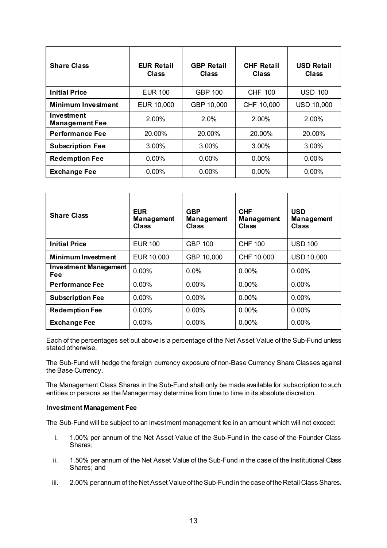| <b>Share Class</b>                  | <b>EUR Retail</b><br><b>Class</b> | <b>GBP Retail</b><br><b>Class</b> | <b>CHF Retail</b><br>Class | <b>USD Retail</b><br>Class |
|-------------------------------------|-----------------------------------|-----------------------------------|----------------------------|----------------------------|
| <b>Initial Price</b>                | <b>EUR 100</b>                    | <b>GBP 100</b>                    | <b>CHF 100</b>             | <b>USD 100</b>             |
| <b>Minimum Investment</b>           | EUR 10,000                        | GBP 10,000                        | CHF 10,000                 | <b>USD 10,000</b>          |
| Investment<br><b>Management Fee</b> | 2.00%                             | 2.0%                              | 2.00%                      | 2.00%                      |
| <b>Performance Fee</b>              | 20.00%                            | 20.00%                            | 20.00%                     | 20.00%                     |
| <b>Subscription Fee</b>             | 3.00%                             | 3.00%                             | 3.00%                      | $3.00\%$                   |
| <b>Redemption Fee</b>               | $0.00\%$                          | $0.00\%$                          | $0.00\%$                   | $0.00\%$                   |
| <b>Exchange Fee</b>                 | 0.00%                             | 0.00%                             | 0.00%                      | 0.00%                      |

| <b>Share Class</b>                         | <b>EUR</b><br><b>Management</b><br>Class | <b>GBP</b><br><b>Management</b><br>Class | <b>CHF</b><br><b>Management</b><br><b>Class</b> | <b>USD</b><br><b>Management</b><br>Class |
|--------------------------------------------|------------------------------------------|------------------------------------------|-------------------------------------------------|------------------------------------------|
| <b>Initial Price</b>                       | <b>EUR 100</b>                           | <b>GBP 100</b>                           | <b>CHF 100</b>                                  | <b>USD 100</b>                           |
| <b>Minimum Investment</b>                  | EUR 10,000                               | GBP 10,000                               | CHF 10,000                                      | <b>USD 10,000</b>                        |
| <b>Investment Management</b><br><b>Fee</b> | 0.00%                                    | $0.0\%$                                  | $0.00\%$                                        | 0.00%                                    |
| <b>Performance Fee</b>                     | 0.00%                                    | $0.00\%$                                 | 0.00%                                           | 0.00%                                    |
| <b>Subscription Fee</b>                    | 0.00%                                    | $0.00\%$                                 | $0.00\%$                                        | $0.00\%$                                 |
| <b>Redemption Fee</b>                      | 0.00%                                    | $0.00\%$                                 | 0.00%                                           | $0.00\%$                                 |
| <b>Exchange Fee</b>                        | 0.00%                                    | 0.00%                                    | 0.00%                                           | 0.00%                                    |

Each of the percentages set out above is a percentage of the Net Asset Value of the Sub-Fund unless stated otherwise.

The Sub-Fund will hedge the foreign currency exposure of non-Base Currency Share Classes against the Base Currency.

The Management Class Shares in the Sub-Fund shall only be made available for subscription to such entities or persons as the Manager may determine from time to time in its absolute discretion.

#### **Investment Management Fee**

The Sub-Fund will be subject to an investment management fee in an amount which will not exceed:

- i. 1.00% per annum of the Net Asset Value of the Sub-Fund in the case of the Founder Class Shares;
- ii. 1.50% per annum of the Net Asset Value of the Sub-Fund in the case of the Institutional Class Shares; and
- iii. 2.00% per annum of the Net Asset Value of the Sub-Fund in the case of the Retail Class Shares.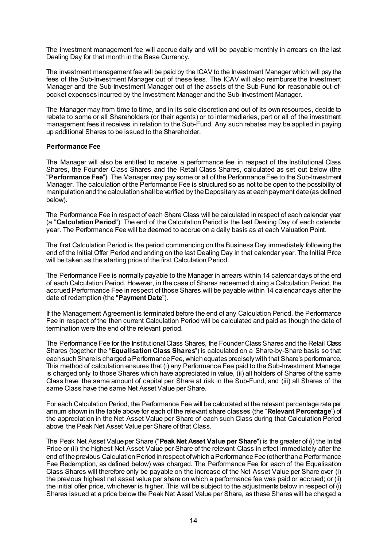The investment management fee will accrue daily and will be payable monthly in arrears on the last Dealing Day for that month in the Base Currency.

The investment management fee will be paid by the ICAV to the Investment Manager which will pay the fees of the Sub-Investment Manager out of these fees. The ICAV will also reimburse the Investment Manager and the Sub-Investment Manager out of the assets of the Sub-Fund for reasonable out-ofpocket expenses incurred by the Investment Manager and the Sub-Investment Manager.

The Manager may from time to time, and in its sole discretion and out of its own resources, decide to rebate to some or all Shareholders (or their agents) or to intermediaries, part or all of the investment management fees it receives in relation to the Sub-Fund. Any such rebates may be applied in paying up additional Shares to be issued to the Shareholder.

#### **Performance Fee**

The Manager will also be entitled to receive a performance fee in respect of the Institutional Class Shares, the Founder Class Shares and the Retail Class Shares, calculated as set out below (the "**Performance Fee**"). The Manager may pay some or all of the Performance Fee to the Sub-Investment Manager. The calculation of the Performance Fee is structured so as not to be open to the possibility of manipulation and the calculation shall be verified by the Depositary as at each payment date (as defined below).

The Performance Fee in respect of each Share Class will be calculated in respect of each calendar year (a "**Calculation Period**"). The end of the Calculation Period is the last Dealing Day of each calendar year. The Performance Fee will be deemed to accrue on a daily basis as at each Valuation Point.

The first Calculation Period is the period commencing on the Business Day immediately following the end of the Initial Offer Period and ending on the last Dealing Day in that calendar year. The Initial Price will be taken as the starting price of the first Calculation Period.

The Performance Fee is normally payable to the Manager in arrears within 14 calendar days of the end of each Calculation Period. However, in the case of Shares redeemed during a Calculation Period, the accrued Performance Fee in respect of those Shares will be payable within 14 calendar days after the date of redemption (the "**Payment Date**").

If the Management Agreement is terminated before the end of any Calculation Period, the Performance Fee in respect of the then current Calculation Period will be calculated and paid as though the date of termination were the end of the relevant period.

The Performance Fee for the Institutional Class Shares, the Founder Class Shares and the Retail Class Shares (together the "**Equalisation Class Shares**") is calculated on a Share-by-Share basis so that each such Share is charged a Performance Fee, which equates precisely with that Share's performance. This method of calculation ensures that (i) any Performance Fee paid to the Sub-Investment Manager is charged only to those Shares which have appreciated in value, (ii) all holders of Shares of the same Class have the same amount of capital per Share at risk in the Sub-Fund, and (iii) all Shares of the same Class have the same Net Asset Value per Share.

For each Calculation Period, the Performance Fee will be calculated at the relevant percentage rate per annum shown in the table above for each of the relevant share classes (the "**Relevant Percentage**") of the appreciation in the Net Asset Value per Share of each such Class during that Calculation Period above the Peak Net Asset Value per Share of that Class.

The Peak Net Asset Value per Share ("**Peak Net Asset Value per Share**") is the greater of (i) the Initial Price or (ii) the highest Net Asset Value per Share of the relevant Class in effect immediately after the end of the previous Calculation Period in respect of which a Performance Fee (other than a Performance Fee Redemption, as defined below) was charged. The Performance Fee for each of the Equalisation Class Shares will therefore only be payable on the increase of the Net Asset Value per Share over (i) the previous highest net asset value per share on which a performance fee was paid or accrued; or (ii) the initial offer price, whichever is higher. This will be subject to the adjustments below in respect of (i) Shares issued at a price below the Peak Net Asset Value per Share, as these Shares will be charged a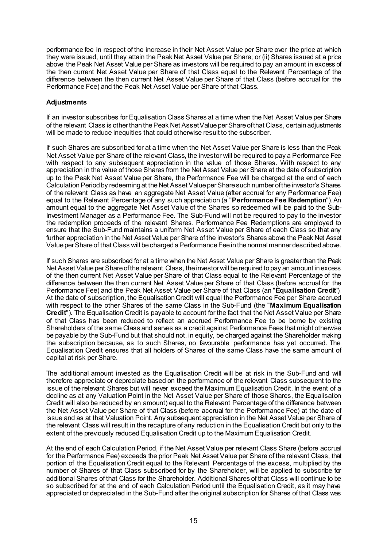performance fee in respect of the increase in their Net Asset Value per Share over the price at which they were issued, until they attain the Peak Net Asset Value per Share; or (ii) Shares issued at a price above the Peak Net Asset Value per Share as investors will be required to pay an amount in excess of the then current Net Asset Value per Share of that Class equal to the Relevant Percentage of the difference between the then current Net Asset Value per Share of that Class (before accrual for the Performance Fee) and the Peak Net Asset Value per Share of that Class.

## **Adjustments**

If an investor subscribes for Equalisation Class Shares at a time when the Net Asset Value per Share of the relevant Class is other than the Peak Net Asset Value per Share of that Class, certain adjustments will be made to reduce inequities that could otherwise result to the subscriber.

If such Shares are subscribed for at a time when the Net Asset Value per Share is less than the Peak Net Asset Value per Share of the relevant Class, the investor will be required to pay a Performance Fee with respect to any subsequent appreciation in the value of those Shares. With respect to any appreciation in the value of those Shares from the Net Asset Value per Share at the date of subscription up to the Peak Net Asset Value per Share, the Performance Fee will be charged at the end of each Calculation Period by redeeming at the Net Asset Value per Share such number of the investor's Shares of the relevant Class as have an aggregate Net Asset Value (after accrual for any Performance Fee) equal to the Relevant Percentage of any such appreciation (a "**Performance Fee Redemption**"). An amount equal to the aggregate Net Asset Value of the Shares so redeemed will be paid to the Sub-Investment Manager as a Performance Fee. The Sub-Fund will not be required to pay to the investor the redemption proceeds of the relevant Shares. Performance Fee Redemptions are employed to ensure that the Sub-Fund maintains a uniform Net Asset Value per Share of each Class so that any further appreciation in the Net Asset Value per Share of the investor's Shares above the Peak Net Asset Value per Share of that Class will be charged a Performance Fee in the normal manner described above.

If such Shares are subscribed for at a time when the Net Asset Value per Share is greater than the Peak Net Asset Value per Share of the relevant Class, the investor will be required to pay an amount in excess of the then current Net Asset Value per Share of that Class equal to the Relevant Percentage of the difference between the then current Net Asset Value per Share of that Class (before accrual for the Performance Fee) and the Peak Net Asset Value per Share of that Class (an "**Equalisation Credit**"). At the date of subscription, the Equalisation Credit will equal the Performance Fee per Share accrued with respect to the other Shares of the same Class in the Sub-Fund (the "**Maximum Equalisation Credit**"). The Equalisation Credit is payable to account for the fact that the Net Asset Value per Share of that Class has been reduced to reflect an accrued Performance Fee to be borne by existing Shareholders of the same Class and serves as a credit against Performance Fees that might otherwise be payable by the Sub-Fund but that should not, in equity, be charged against the Shareholder making the subscription because, as to such Shares, no favourable performance has yet occurred. The Equalisation Credit ensures that all holders of Shares of the same Class have the same amount of capital at risk per Share.

The additional amount invested as the Equalisation Credit will be at risk in the Sub-Fund and will therefore appreciate or depreciate based on the performance of the relevant Class subsequent to the issue of the relevant Shares but will never exceed the Maximum Equalisation Credit. In the event of a decline as at any Valuation Point in the Net Asset Value per Share of those Shares, the Equalisation Credit will also be reduced by an amount) equal to the Relevant Percentage of the difference between the Net Asset Value per Share of that Class (before accrual for the Performance Fee) at the date of issue and as at that Valuation Point. Any subsequent appreciation in the Net Asset Value per Share of the relevant Class will result in the recapture of any reduction in the Equalisation Credit but only to the extent of the previously reduced Equalisation Credit up to the Maximum Equalisation Credit.

At the end of each Calculation Period, if the Net Asset Value per relevant Class Share (before accrual for the Performance Fee) exceeds the prior Peak Net Asset Value per Share of the relevant Class, that portion of the Equalisation Credit equal to the Relevant Percentage of the excess, multiplied by the number of Shares of that Class subscribed for by the Shareholder, will be applied to subscribe for additional Shares of that Class for the Shareholder. Additional Shares of that Class will continue to be so subscribed for at the end of each Calculation Period until the Equalisation Credit, as it may have appreciated or depreciated in the Sub-Fund after the original subscription for Shares of that Class was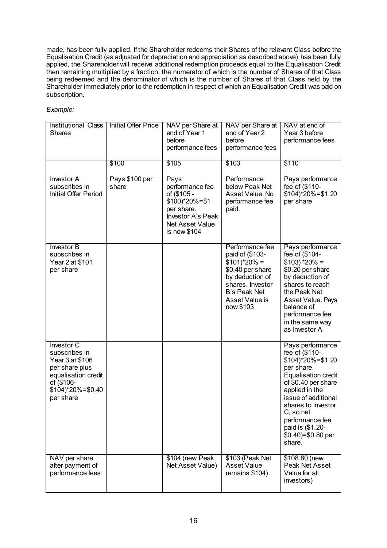made, has been fully applied. If the Shareholder redeems their Shares of the relevant Class before the Equalisation Credit (as adjusted for depreciation and appreciation as described above) has been fully applied, the Shareholder will receive additional redemption proceeds equal to the Equalisation Credit then remaining multiplied by a fraction, the numerator of which is the number of Shares of that Class being redeemed and the denominator of which is the number of Shares of that Class held by the Shareholder immediately prior to the redemption in respect of which an Equalisation Credit was paid on subscription.

## *Example:*

| <b>Institutional Class</b><br><b>Shares</b>                                                                                                          | <b>Initial Offer Price</b> | NAV per Share at<br>end of Year 1<br>before<br>performance fees                                                                              | NAV per Share at<br>end of Year 2<br>before<br>performance fees                                                                                                                  | NAV at end of<br>Year 3 before<br>performance fees                                                                                                                                                                                                                                         |
|------------------------------------------------------------------------------------------------------------------------------------------------------|----------------------------|----------------------------------------------------------------------------------------------------------------------------------------------|----------------------------------------------------------------------------------------------------------------------------------------------------------------------------------|--------------------------------------------------------------------------------------------------------------------------------------------------------------------------------------------------------------------------------------------------------------------------------------------|
|                                                                                                                                                      | \$100                      | \$105                                                                                                                                        | \$103                                                                                                                                                                            | \$110                                                                                                                                                                                                                                                                                      |
| <b>Investor A</b><br>subscribes in<br>Initial Offer Period                                                                                           | Pays \$100 per<br>share    | Pays<br>performance fee<br>of (\$105 -<br>\$100)*20%=\$1<br>per share.<br><b>Investor A's Peak</b><br><b>Net Asset Value</b><br>is now \$104 | Performance<br>below Peak Net<br>Asset Value. No<br>performance fee<br>paid.                                                                                                     | Pays performance<br>fee of (\$110-<br>$$104$ <sup>*</sup> 20%=\$1.20<br>per share                                                                                                                                                                                                          |
| <b>Investor B</b><br>subscribes in<br>Year 2 at \$101<br>per share                                                                                   |                            |                                                                                                                                              | Performance fee<br>paid of (\$103-<br>$$101$ <sup>*</sup> 20% =<br>\$0.40 per share<br>by deduction of<br>shares. Investor<br><b>B's Peak Net</b><br>Asset Value is<br>now \$103 | Pays performance<br>fee of (\$104-<br>$$103$ *20% =<br>\$0.20 per share<br>by deduction of<br>shares to reach<br>the Peak Net<br>Asset Value. Pays<br>balance of<br>performance fee<br>in the same way<br>as Investor A                                                                    |
| Investor C<br>subscribes in<br>Year 3 at \$106<br>per share plus<br>equalisation credit<br>of (\$106-<br>$$104$ <sup>*</sup> 20%=\$0.40<br>per share |                            |                                                                                                                                              |                                                                                                                                                                                  | Pays performance<br>fee of (\$110-<br>$$104$ <sup>*</sup> 20%=\$1.20<br>per share.<br><b>Equalisation credit</b><br>of \$0.40 per share<br>applied in the<br>issue of additional<br>shares to Investor<br>C, so net<br>performance fee<br>paid is (\$1.20-<br>\$0.40)=\$0.80 per<br>share. |
| NAV per share<br>after payment of<br>performance fees                                                                                                |                            | \$104 (new Peak<br>Net Asset Value)                                                                                                          | \$103 (Peak Net<br><b>Asset Value</b><br>remains \$104)                                                                                                                          | \$108.80 (new<br>Peak Net Asset<br>Value for all<br>investors)                                                                                                                                                                                                                             |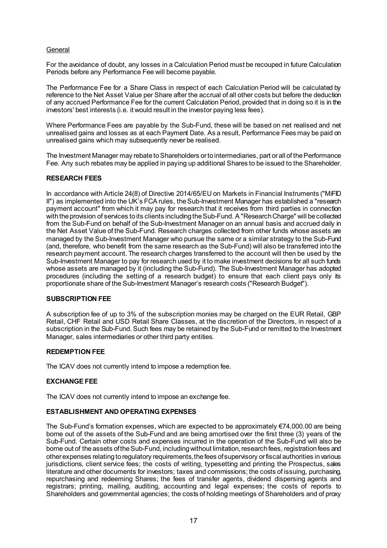## **General**

For the avoidance of doubt, any losses in a Calculation Period must be recouped in future Calculation Periods before any Performance Fee will become payable.

The Performance Fee for a Share Class in respect of each Calculation Period will be calculated by reference to the Net Asset Value per Share after the accrual of all other costs but before the deduction of any accrued Performance Fee for the current Calculation Period, provided that in doing so it is in the investors' best interests (i.e. it would result in the investor paying less fees).

Where Performance Fees are payable by the Sub-Fund, these will be based on net realised and net unrealised gains and losses as at each Payment Date. As a result, Performance Fees may be paid on unrealised gains which may subsequently never be realised.

The Investment Manager may rebate to Shareholders or to intermediaries, part or all of the Performance Fee. Any such rebates may be applied in paying up additional Shares to be issued to the Shareholder.

## **RESEARCH FEES**

In accordance with Article 24(8) of Directive 2014/65/EU on Markets in Financial Instruments ("MiFID" II") as implemented into the UK's FCA rules, the Sub-Investment Manager has established a "research payment account" from which it may pay for research that it receives from third parties in connection with the provision of services to its clients including the Sub-Fund. A "Research Charge" will be collected from the Sub-Fund on behalf of the Sub-Investment Manager on an annual basis and accrued daily in the Net Asset Value of the Sub-Fund. Research charges collected from other funds whose assets are managed by the Sub-Investment Manager who pursue the same or a similar strategy to the Sub-Fund (and, therefore, who benefit from the same research as the Sub-Fund) will also be transferred into the research payment account. The research charges transferred to the account will then be used by the Sub-Investment Manager to pay for research used by it to make investment decisions for all such funds whose assets are managed by it (including the Sub-Fund). The Sub-Investment Manager has adopted procedures (including the setting of a research budget) to ensure that each client pays only its proportionate share of the Sub-Investment Manager's research costs ("Research Budget").

#### **SUBSCRIPTION FEE**

A subscription fee of up to 3% of the subscription monies may be charged on the EUR Retail, GBP Retail, CHF Retail and USD Retail Share Classes, at the discretion of the Directors, in respect of a subscription in the Sub-Fund. Such fees may be retained by the Sub-Fund or remitted to the Investment Manager, sales intermediaries or other third party entities.

#### **REDEMPTION FEE**

The ICAV does not currently intend to impose a redemption fee.

#### **EXCHANGE FEE**

The ICAV does not currently intend to impose an exchange fee.

#### **ESTABLISHMENT AND OPERATING EXPENSES**

The Sub-Fund's formation expenses, which are expected to be approximately €74,000.00 are being borne out of the assets of the Sub-Fund and are being amortised over the first three (3) years of the Sub-Fund. Certain other costs and expenses incurred in the operation of the Sub-Fund will also be borne out of the assets of the Sub-Fund, including without limitation, research fees, registration fees and other expenses relating to regulatory requirements, the fees of supervisory or fiscal authorities in various jurisdictions, client service fees; the costs of writing, typesetting and printing the Prospectus, sales literature and other documents for investors; taxes and commissions; the costs of issuing, purchasing, repurchasing and redeeming Shares; the fees of transfer agents, dividend dispersing agents and registrars; printing, mailing, auditing, accounting and legal expenses; the costs of reports to Shareholders and governmental agencies; the costs of holding meetings of Shareholders and of proxy